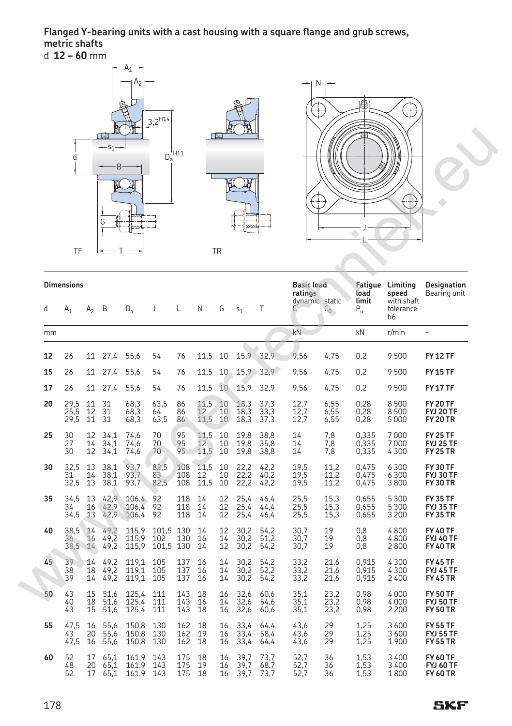**Flanged Y-bearing units with a cast housing with a square flange and grub screws, metric shafts** d **12 – 60** mm



|    | d<br><b>TF</b>             |                | <u>Lich</u><br>【四<br>$S_1$ -<br>B<br>G | ) M                     |                               | $D_a^{'\rm H11}$  |                          | <u>IPBIL</u><br>画<br><b>TR</b> |                      |                      |                                   | $\pm$                         |                                          |                                                            |                                                        |
|----|----------------------------|----------------|----------------------------------------|-------------------------|-------------------------------|-------------------|--------------------------|--------------------------------|----------------------|----------------------|-----------------------------------|-------------------------------|------------------------------------------|------------------------------------------------------------|--------------------------------------------------------|
| d  | <b>Dimensions</b><br>$A_1$ | A2             | B                                      | $D_{a}$                 | J                             | L                 | N                        | G                              | S <sub>1</sub>       | Т                    | <b>Basic load</b><br>ratings<br>C | dynamic static<br>$C_{\odot}$ | load<br>limit<br>$\mathsf{P}_\mathsf{u}$ | Fatigue Limiting<br>speed<br>with shaft<br>tolerance<br>h6 | Designation<br>Bearing unit                            |
| mm |                            |                |                                        |                         |                               |                   |                          |                                |                      |                      | kN                                |                               | kN                                       | r/min                                                      | $\overline{a}$                                         |
| 12 | 26                         | 11             | 27.4                                   | 55.6                    | 54                            | 76                | 11.5                     | 10                             | 15,9 32,9            |                      | 9.56                              | 4.75                          | 0.2                                      | 9500                                                       | <b>FY 12 TF</b>                                        |
| 15 | 26                         | 11             | 27,4                                   | 55,6                    | 54                            | 76                | 11,5                     | 10                             | 15,9                 | 32,9                 | 9,56                              | 4,75                          | 0,2                                      | 9500                                                       | <b>FY 15 TF</b>                                        |
| 17 | 26                         | 11             | 27,4                                   | 55,6                    | 54                            | 76                | 11,5                     | 10                             | 15,9                 | 32,9                 | 9,56                              | 4,75                          | 0,2                                      | 9500                                                       | FY 17 TF                                               |
| 20 | 29,5<br>25,5<br>29.5       | 11<br>12<br>11 | 31<br>31<br>31                         | 68,3<br>68,3<br>68,3    | 63,5<br>64<br>63,5            | 86<br>86<br>86    | 11,5<br>12<br>12<br>11,5 | 10<br>10<br>10                 | 18,3<br>18,3<br>18,3 | 37,3<br>33,3<br>37.3 | 12,7<br>12,7<br>12,7              | 6,55<br>6,55<br>6,55          | 0,28<br>0,28<br>0,28                     | 8500<br>8500<br>5 0 0 0                                    | <b>FY 20 TF</b><br><b>FYJ 20 TF</b><br><b>FY 20 TR</b> |
| 25 | 30<br>27<br>30             | 12<br>14<br>12 | 34,1<br>34,1<br>34,1                   | 74,6<br>74,6<br>74,6    | 70<br>70<br>70                | 95<br>95<br>95    | 11.5<br>12<br>11,5       | 10<br>10<br>10                 | 19,8<br>19,8<br>19,8 | 38.8<br>35,8<br>38,8 | 14<br>14<br>14                    | 7,8<br>7,8<br>7,8             | 0,335<br>0,335<br>0,335                  | 7000<br>7000<br>4 3 0 0                                    | <b>FY 25 TF</b><br>FYJ 25 TF<br><b>FY 25 TR</b>        |
| 30 | 32,5<br>31<br>32,5         | 13<br>14<br>13 | 38,1<br>38,1<br>38,1                   | 93,7<br>93,7<br>93,7    | 82,5<br>83<br>82,5            | 108<br>108<br>108 | 11,5<br>12<br>11,5       | 10<br>10<br>10                 | 22,2<br>22,2<br>22,2 | 42,2<br>40,2<br>42,2 | 19,5<br>19,5<br>19,5              | 11,2<br>11,2<br>11,2          | 0,475<br>0,475<br>0,475                  | 6 3 0 0<br>6300<br>3800                                    | <b>FY 30 TF</b><br><b>FYJ 30 TF</b><br><b>FY 30 TR</b> |
| 35 | 34,5<br>34<br>34.5         | 13<br>16<br>13 | 42,9<br>$42,9$<br>$42,9$               | 106,4<br>106,4<br>106,4 | 92<br>92<br>92                | 118<br>118<br>118 | 14<br>14<br>14           | 12<br>12<br>12                 | 25,4<br>25,4<br>25,4 | 46.4<br>44.4<br>46,4 | 25,5<br>25,5<br>25,5              | $15,3$<br>$15,3$<br>15,3      | 0,655<br>0,655<br>0,655                  | 5300<br>5 3 0 0<br>3 2 0 0                                 | <b>FY 35 TF</b><br><b>FYJ 35 TF</b><br><b>FY 35 TR</b> |
| 40 | 38.5<br>36<br>38,5         | 14<br>16<br>14 | 49,2<br>49,2<br>49,2                   | 115.9<br>115,9<br>115,9 | 101,5 130<br>102<br>101,5 130 | 130               | 14<br>16<br>14           | 12<br>14<br>12                 | 30,2<br>30,2<br>30,2 | 54,2<br>51,2<br>54,2 | 30,7<br>30,7<br>30,7              | 19<br>19<br>19                | 0,8<br>0,8<br>0,8                        | 4800<br>4800<br>2800                                       | <b>FY 40 TF</b><br><b>FYJ 40 TF</b><br><b>FY 40 TR</b> |
| 45 | 39<br>38<br>39             | 14<br>18<br>14 | 49,2<br>49,2<br>49.2                   | 119,1<br>119.1<br>119,1 | 105<br>105<br>105             | 137<br>137<br>137 | 16<br>16<br>16           | 14<br>14<br>14                 | 30,2<br>30,2<br>30.2 | 54,2<br>52,2<br>54,2 | 33,2<br>33,2<br>33,2              | 21,6<br>21,6<br>21.6          | 0.915<br>0,915<br>0.915                  | 4 3 0 0<br>4300<br>2400                                    | <b>FY 45 TF</b><br><b>FYJ 45 TF</b><br><b>FY 45 TR</b> |
| 50 | 43<br>40<br>43             | 15<br>18<br>15 | 51,6<br>51,6<br>51,6                   | 125,4<br>125,4<br>125,4 | 111<br>111<br>111             | 143<br>143<br>143 | 18<br>16<br>18           | 16<br>14<br>16                 | 32,6<br>32,6<br>32,6 | 60.6<br>54,6<br>60,6 | 35,1<br>35,1<br>35,1              | 23,2<br>23,2<br>23,2          | 0,98<br>0,98<br>0,98                     | 4000<br>4000<br>2 200                                      | <b>FY 50 TF</b><br><b>FYJ 50 TF</b><br><b>FY 50 TR</b> |
| 55 | 47,5<br>43<br>47,5         | 16<br>20<br>16 | 55,6<br>55,6<br>55,6                   | 150,8<br>150,8<br>150,8 | 130<br>130<br>130             | 162<br>162<br>162 | 18<br>19<br>18           | 16<br>16<br>16                 | 33,4<br>33,4<br>33,4 | 64,4<br>58,4<br>64,4 | 43,6<br>43,6<br>43,6              | 29<br>29<br>29                | 1,25<br>1,25<br>1,25                     | 3600<br>3600<br>1900                                       | <b>FY 55 TF</b><br><b>FYJ 55 TF</b><br><b>FY 55 TR</b> |
| 60 | 52<br>48<br>52             | 17<br>20<br>17 | 65.1<br>65,1<br>65,1                   | 161,9<br>161,9<br>161,9 | 143<br>143<br>143             | 175<br>175<br>175 | 18<br>19<br>18           | 16<br>16<br>16                 | 39.7<br>39,7<br>39.7 | 73.7<br>68,7<br>73.7 | 52,7<br>52,7<br>52,7              | 36<br>36<br>36                | 1.53<br>1,53<br>1.53                     | 3400<br>3 4 0 0<br>1800                                    | <b>FY 60 TF</b><br><b>FYJ 60 TF</b><br><b>FY 60 TR</b> |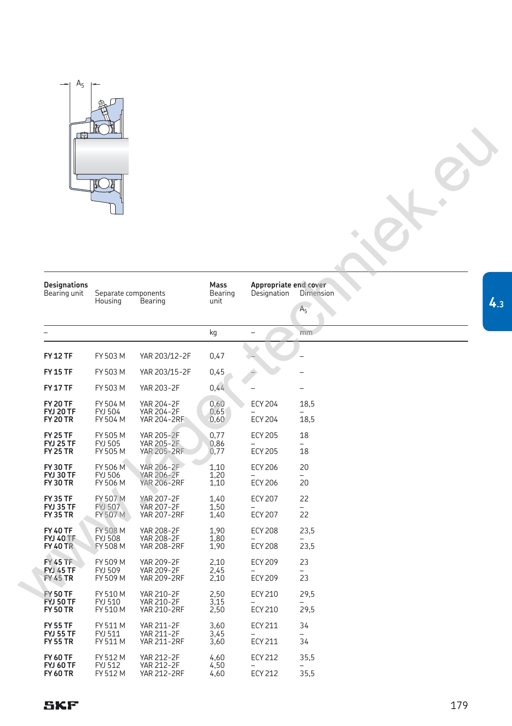

| 曲                                                      | <b>TICH</b><br><u>) al</u>             |                                                              |                         |                                      |                             |
|--------------------------------------------------------|----------------------------------------|--------------------------------------------------------------|-------------------------|--------------------------------------|-----------------------------|
| <b>Designations</b><br>Bearing unit                    | Separate components<br>Housing         | Bearing                                                      | Mass<br>Bearing<br>unit | Appropriate end cover<br>Designation | Dimension<br>A <sub>5</sub> |
|                                                        |                                        |                                                              | kg                      |                                      | mm                          |
| <b>FY 12 TF</b>                                        | FY 503 M                               | YAR 203/12-2F                                                | 0,47                    |                                      |                             |
| <b>FY 15 TF</b>                                        | FY 503 M                               | YAR 203/15-2F                                                | 0,45                    |                                      |                             |
| <b>FY 17 TF</b>                                        | FY 503 M                               | <b>YAR 203-2F</b>                                            | 0,44                    |                                      |                             |
| <b>FY 20 TF</b><br><b>FYJ 20 TF</b><br><b>FY 20 TR</b> | FY 504 M<br><b>FYJ 504</b><br>FY 504 M | YAR 204-2F<br><b>YAR 204-2F</b><br>YAR 204-2RF               | 0,60<br>0,65<br>0,60    | <b>ECY 204</b><br><b>ECY 204</b>     | 18,5<br>18,5                |
| <b>FY 25 TF</b><br><b>FYJ 25 TF</b><br><b>FY 25 TR</b> | FY 505 M<br><b>FYJ 505</b><br>FY 505 M | <b>YAR 205-2F</b><br>YAR 205-2F<br><b>YAR 205-2RF</b>        | 0,77<br>0,86<br>0,77    | <b>ECY 205</b><br><b>ECY 205</b>     | 18<br>18                    |
| <b>FY 30 TF</b><br>FYJ 30 TF<br><b>FY 30 TR</b>        | FY 506 M<br><b>FYJ 506</b><br>FY 506 M | YAR 206-2F<br>YAR 206-2F<br><b>YAR 206-2RF</b>               | 1,10<br>1,20<br>1,10    | <b>ECY 206</b><br><b>ECY 206</b>     | 20<br>20                    |
| <b>FY 35 TF</b><br><b>FYJ 35 TF</b><br><b>FY 35 TR</b> | FY 507 M<br><b>FYJ 507</b><br>FY 507 M | YAR 207-2F<br>YAR 207-2F<br><b>YAR 207-2RF</b>               | 1,40<br>1,50<br>1,40    | <b>ECY 207</b><br><b>ECY 207</b>     | 22<br>22                    |
| <b>FY 40 TF</b><br><b>FYJ 40 TF</b><br><b>FY 40 TR</b> | FY 508 M<br><b>FYJ 508</b><br>FY 508 M | <b>YAR 208-2F</b><br><b>YAR 208-2F</b><br><b>YAR 208-2RF</b> | 1,90<br>1,80<br>1,90    | <b>ECY 208</b><br><b>ECY 208</b>     | 23,5<br>23,5                |
| <b>FY 45 TF</b><br><b>FYJ 45 TF</b><br><b>FY 45 TR</b> | FY 509 M<br>FYJ 509<br>FY 509 M        | YAR 209-2F<br>YAR 209-2F<br><b>YAR 209-2RF</b>               | 2,10<br>2,45<br>2,10    | <b>ECY 209</b><br><b>ECY 209</b>     | 23<br>23                    |
| <b>FY 50 TF</b><br><b>FYJ 50 TF</b><br><b>FY 50 TR</b> | FY 510 M<br>FYJ 510<br>FY 510 M        | YAR 210-2F<br>YAR 210-2F<br><b>YAR 210-2RF</b>               | 2,50<br>3,15<br>2,50    | ECY 210<br><b>ECY 210</b>            | 29,5<br>29,5                |
| <b>FY 55 TF</b><br><b>FYJ 55 TF</b><br><b>FY 55 TR</b> | FY 511 M<br>FYJ 511<br>FY 511 M        | YAR 211-2F<br>YAR 211-2F<br><b>YAR 211-2RF</b>               | 3,60<br>3,45<br>3,60    | <b>ECY 211</b><br><b>ECY 211</b>     | 34<br>34                    |
| <b>FY 60 TF</b><br><b>FYJ 60 TF</b><br><b>FY 60 TR</b> | FY 512 M<br><b>FYJ 512</b><br>FY 512 M | YAR 212-2F<br>YAR 212-2F<br><b>YAR 212-2RF</b>               | 4,60<br>4,50<br>4,60    | <b>ECY 212</b><br><b>ECY 212</b>     | 35,5<br>35,5                |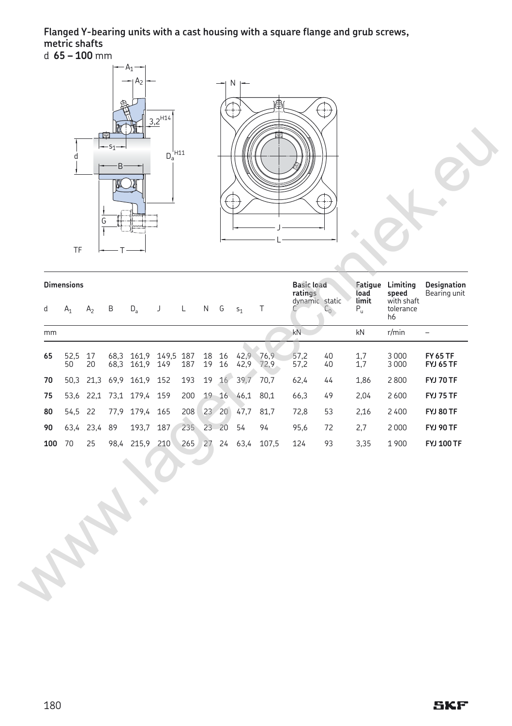## **Flanged Y-bearing units with a cast housing with a square flange and grub screws, metric shafts** d **65 – 100** mm



| d   | <b>Dimensions</b><br>$A_1$ | A <sub>2</sub> | B    | $D_a$                                  | J | L   | N  | G           | $S_1$             | T     | <b>Basic load</b><br>ratings<br>dynamic static<br>C | $C_0$    | load<br>limit<br>$P_u$ | Fatigue Limiting<br>speed<br>with shaft<br>tolerance<br>h <sub>6</sub> | <b>Designation</b><br>Bearing unit  |
|-----|----------------------------|----------------|------|----------------------------------------|---|-----|----|-------------|-------------------|-------|-----------------------------------------------------|----------|------------------------|------------------------------------------------------------------------|-------------------------------------|
| mm  |                            |                |      |                                        |   |     |    |             |                   |       | kN                                                  |          | kN                     | r/min                                                                  | $\overline{\phantom{a}}$            |
| 65  | 52,5<br>50                 | 17<br>20       |      | 68,3 161,9 149,5 187<br>68,3 161,9 149 |   | 187 | 19 | 18 16<br>16 | 42,9 76,9<br>42,9 | 72.9  | 57,2<br>57,2                                        | 40<br>40 | $1,7$<br>$1,7$         | 3000<br>3 0 0 0                                                        | <b>FY 65 TF</b><br><b>FYJ 65 TF</b> |
| 70  |                            |                |      | 50,3 21,3 69,9 161,9 152               |   | 193 | 19 | 16          | 39,7              | 70,7  | 62,4                                                | 44       | 1,86                   | 2800                                                                   | <b>FYJ 70 TF</b>                    |
| 75  |                            |                |      | 53,6 22,1 73,1 179,4 159               |   | 200 |    |             | $19 - 16 - 46,1$  | 80,1  | 66,3                                                | 49       | 2,04                   | 2600                                                                   | FYJ 75 TF                           |
| 80  | 54,5 22                    |                |      | 77,9 179,4 165                         |   | 208 |    |             | 23 20 47,7        | 81,7  | 72,8                                                | 53       | 2,16                   | 2400                                                                   | <b>FYJ 80 TF</b>                    |
| 90  |                            | 63,4 23,4 89   |      | 193,7 187                              |   | 235 |    | 23 20       | 54                | 94    | 95,6                                                | 72       | 2,7                    | 2000                                                                   | FYJ 90 TF                           |
| 100 | 70                         | 25             | 98,4 | 215,9 210                              |   | 265 |    |             | 27 24 63,4        | 107,5 | 124                                                 | 93       | 3,35                   | 1900                                                                   | <b>FYJ 100 TF</b>                   |
|     |                            |                |      |                                        |   |     |    |             |                   |       |                                                     |          |                        |                                                                        |                                     |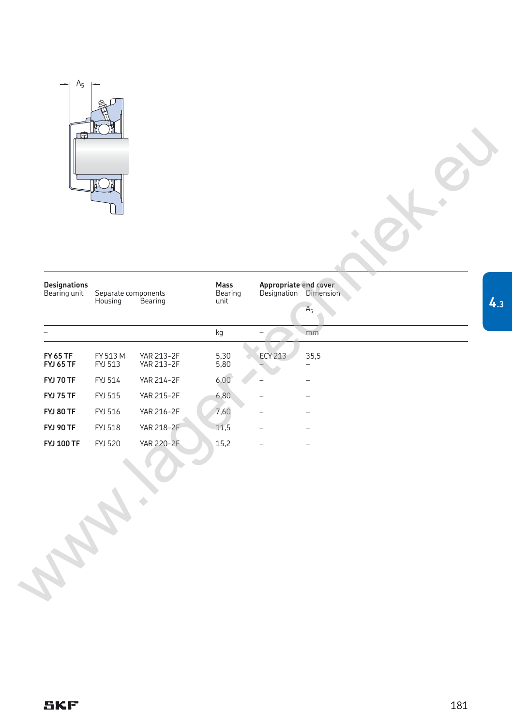

| <b>Designations</b><br>Bearing unit | Separate components<br>Housing | Bearing                         | Mass<br>Bearing<br>unit |                          | Appropriate end cover<br>Designation Dimension<br>A <sub>5</sub> |  |
|-------------------------------------|--------------------------------|---------------------------------|-------------------------|--------------------------|------------------------------------------------------------------|--|
|                                     |                                |                                 | kg                      | $\overline{\phantom{0}}$ | mm                                                               |  |
| <b>FY 65 TF</b><br><b>FYJ 65 TF</b> | FY 513 M<br>FYJ 513            | YAR 213-2F<br><b>YAR 213-2F</b> | 5,30<br>5,80            | <b>ECY 213</b>           | 35,5                                                             |  |
| <b>FYJ 70 TF</b>                    | FYJ 514                        | <b>YAR 214-2F</b>               | 6,00                    |                          |                                                                  |  |
| <b>FYJ 75 TF</b>                    | FYJ 515                        | <b>YAR 215-2F</b>               | 6,80                    |                          |                                                                  |  |
| <b>FYJ 80 TF</b>                    | FYJ 516                        | YAR 216-2F                      | 7,60                    |                          |                                                                  |  |
| <b>FYJ 90 TF</b>                    | <b>FYJ 518</b>                 | YAR 218-2F                      | 11,5                    |                          |                                                                  |  |
| <b>FYJ 100 TF</b>                   | <b>FYJ 520</b>                 | <b>YAR 220-2F</b>               | 15,2                    |                          |                                                                  |  |
|                                     |                                |                                 |                         |                          |                                                                  |  |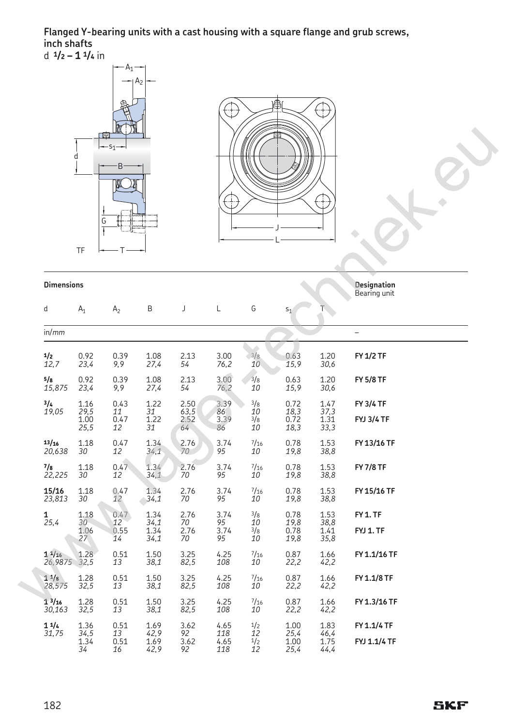## **Flanged Y-bearing units with a cast housing with a square flange and grub screws, inch shafts** d **1/2 – 1 1/<sup>4</sup>** in





|                        | d<br>TF                      | 四<br>$-51-$<br>B<br>G    |                                 |                            | ÷                          |                        |                              |                                  |                                       |
|------------------------|------------------------------|--------------------------|---------------------------------|----------------------------|----------------------------|------------------------|------------------------------|----------------------------------|---------------------------------------|
| <b>Dimensions</b>      |                              |                          |                                 |                            |                            |                        |                              |                                  | Designation<br>Bearing unit           |
| d                      | $A_1$                        | A <sub>2</sub>           | B                               | J                          | L                          | G                      | $S_1$                        | $\overline{\mathsf{T}}$          |                                       |
| in/mm                  |                              |                          |                                 |                            |                            |                        |                              |                                  |                                       |
| 1/2<br>12,7            | 0.92<br>23,4                 | 0.39<br>9,9              | 1.08<br>27,4                    | 2.13<br>54                 | 3.00<br>76,2               | 3/8<br>10              | 0.63<br>15,9                 | 1.20<br>30,6                     | FY 1/2 TF                             |
| 5/s<br>15,875          | 0.92<br>23,4                 | 0.39<br>9,9              | 1.08<br>27,4                    | 2.13<br>54                 | 3.00<br>76,2               | 3/8<br>10              | 0.63<br>15,9                 | 1.20<br>30,6                     | <b>FY 5/8 TF</b>                      |
| 3/4<br>19,05           | 1.16<br>29,5<br>1.00<br>25,5 | 0.43<br>11<br>0.47<br>12 | 1.22<br>$\frac{31}{1.22}$<br>31 | 2.50<br>63,5<br>2.52<br>64 | 3.39<br>86<br>3.39<br>86   | 3/8<br>10<br>3/8<br>10 | 0.72<br>18,3<br>0.72<br>18,3 | 1.47<br>$37,3$<br>$1.31$<br>33,3 | <b>FY 3/4 TF</b><br><b>FYJ 3/4 TF</b> |
| 13/16<br>20,638        | 1.18<br>30                   | 0.47<br>12               | 1.34<br>34,1                    | 2.76<br>70                 | 3.74<br>95                 | $^{7/16}$<br>10        | 0.78<br>19,8                 | 1.53<br>38,8                     | FY 13/16 TF                           |
| 7/8<br>22,225          | 1.18<br>30                   | 0.47<br>12               | 1.34<br>34,1                    | 2.76<br>70                 | 3.74<br>95                 | $^{7/16}$<br>10        | 0.78<br>19,8                 | 1.53<br>38,8                     | <b>FY 7/8 TF</b>                      |
| 15/16<br>23,813        | 1.18<br>30                   | 0.47<br>12               | 1.34<br>34,1                    | 2.76<br>70                 | 3.74<br>95                 | $^{7/16}$<br>10        | 0.78<br>19,8                 | 1.53<br>38,8                     | FY 15/16 TF                           |
| 1<br>$\overline{2}5,4$ | 1.18<br>30<br>1.06<br>27     | 0.47<br>12<br>0.55<br>14 | 1.34<br>34,1<br>1.34<br>34,1    | 2.76<br>70<br>2.76<br>70   | 3.74<br>95<br>3.74<br>95   | 3/8<br>10<br>3/8<br>10 | 0.78<br>19,8<br>0.78<br>19,8 | 1.53<br>38,8<br>1.41<br>35,8     | FY <sub>1.TF</sub><br>FYJ 1. TF       |
| 11/16<br>26,9875       | 1.28<br>32,5                 | 0.51<br>13               | 1.50<br>38,1                    | 3.25<br>82,5               | 4.25<br>108                | $^{7/16}$<br>10        | 0.87<br>22,2                 | 1.66<br>42,2                     | FY 1.1/16 TF                          |
| $1^{1/8}$<br>28,575    | 1.28<br>32,5                 | 0.51<br>13               | 1.50<br>38,1                    | 3.25<br>82,5               | 4.25<br>108                | $^{7/16}$<br>10        | 0.87<br>22,2                 | 1.66<br>42,2                     | FY 1.1/8 TF                           |
| $1^{3/16}$<br>30,163   | 1.28<br>32,5                 | 0.51<br>13               | 1.50<br>38,1                    | 3.25<br>82,5               | 4.25<br>108                | $^{7/16}$<br>10        | 0.87<br>22,2                 | 1.66<br>42,2                     | FY 1.3/16 TF                          |
| 11/4<br>31,75          | 1.36<br>34,5<br>1.34<br>34   | 0.51<br>13<br>0.51<br>16 | 1.69<br>42,9<br>1.69<br>42,9    | 3.62<br>92<br>3.62<br>92   | 4.65<br>118<br>4.65<br>118 | 1/2<br>12<br>1/2<br>12 | 1.00<br>25,4<br>1.00<br>25,4 | 1.83<br>46,4<br>1.75<br>44,4     | FY 1.1/4 TF<br>FYJ 1.1/4 TF           |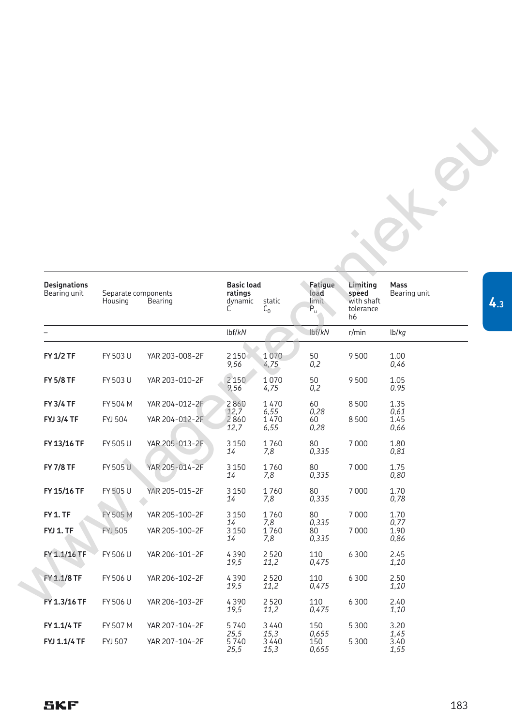| Designations<br>Bearing unit          | Separate components<br>Housing | Bearing                          | <b>Basic load</b><br>ratings<br>dynamic<br>С | static<br>$C_0$                    | Fatigue<br>load<br>limit<br>$P_u$ | Limiting<br>speed<br>with shaft<br>tolerance<br>h6 | Mass<br>Bearing unit         |
|---------------------------------------|--------------------------------|----------------------------------|----------------------------------------------|------------------------------------|-----------------------------------|----------------------------------------------------|------------------------------|
|                                       |                                |                                  | lbf/kN                                       |                                    | lbf/kN                            | r/min                                              | lb/kg                        |
| <b>FY 1/2 TF</b>                      | FY 503 U                       | YAR 203-008-2F                   | 2 1 5 0<br>9,56                              | 1070<br>4,75                       | 50<br>0,2                         | 9500                                               | 1.00<br>0,46                 |
| <b>FY 5/8 TF</b>                      | FY 503 U                       | YAR 203-010-2F                   | 2 1 5 0<br>9,56                              | 1070<br>4,75                       | 50<br>0,2                         | 9500                                               | 1.05<br>0.95                 |
| <b>FY 3/4 TF</b><br><b>FYJ 3/4 TF</b> | FY 504 M<br><b>FYJ 504</b>     | YAR 204-012-2F<br>YAR 204-012-2F | 2860<br>12,7<br>2860<br>12,7                 | 1470<br>6,55<br>1470<br>6,55       | 60<br>0,28<br>60<br>0,28          | 8500<br>8500                                       | 1.35<br>0,61<br>1.45<br>0,66 |
| FY 13/16 TF                           | FY 505 U                       | YAR 205-013-2F                   | 3 1 5 0<br>14                                | 1760<br>7,8                        | 80<br>0,335                       | 7000                                               | 1.80<br>0,81                 |
| <b>FY 7/8 TF</b>                      | FY 505 U                       | YAR 205-014-2F                   | 3 1 5 0<br>14                                | 1760<br>7,8                        | 80<br>0,335                       | 7000                                               | 1.75<br>0,80                 |
| FY 15/16 TF                           | FY 505 U                       | YAR 205-015-2F                   | 3 1 5 0<br>14                                | 1760<br>7,8                        | 80<br>0,335                       | 7000                                               | 1.70<br>0,78                 |
| FY <sub>1.TF</sub><br>FYJ 1. TF       | FY 505 M<br><b>FYJ 505</b>     | YAR 205-100-2F<br>YAR 205-100-2F | 3 1 5 0<br>14<br>3 1 5 0<br>14               | 1760<br>7,8<br>1760<br>7,8         | 80<br>0,335<br>80<br>0,335        | 7000<br>7000                                       | 1.70<br>0,77<br>1.90<br>0,86 |
| FY 1.1/16 TF                          | FY 506 U                       | YAR 206-101-2F                   | 4390<br>19,5                                 | 2520<br>11,2                       | 110<br>0,475                      | 6 3 0 0                                            | 2.45<br>1,10                 |
| FY 1.1/8 TF                           | FY 506 U                       | YAR 206-102-2F                   | 4390<br>19,5                                 | 2520<br>11,2                       | 110<br>0,475                      | 6 3 0 0                                            | 2.50<br>1,10                 |
| FY 1.3/16 TF                          | FY 506 U                       | YAR 206-103-2F                   | 4390<br>19,5                                 | 2520<br>11,2                       | 110<br>0,475                      | 6 3 0 0                                            | 2.40<br>1,10                 |
| FY 1.1/4 TF<br>FYJ 1.1/4 TF           | FY 507 M<br><b>FYJ 507</b>     | YAR 207-104-2F<br>YAR 207-104-2F | 5740<br>25,5<br>5740<br>25,5                 | 3 4 4 0<br>15,3<br>3 4 4 0<br>15,3 | 150<br>0,655<br>150<br>0,655      | 5 3 0 0<br>5300                                    | 3.20<br>1,45<br>3.40<br>1,55 |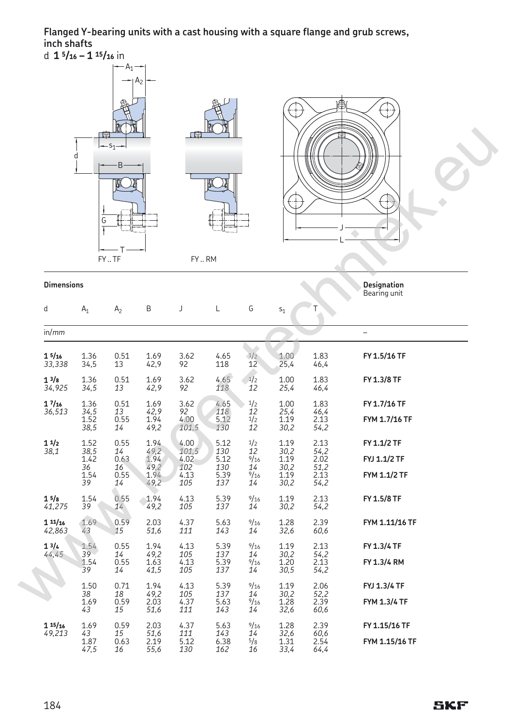**Flanged Y-bearing units with a cast housing with a square flange and grub screws, inch shafts**

d **1 5/16 – 1 15/<sup>16</sup>** in

|                   | ■<br>d<br>G              | $-A_1 -$<br>$-51$<br>B<br>FYTF | $\mathsf{A}_2$       | 「團<br>FYRM    |                                            |                    | ₩<br>F               | 串                           | ₩                            |
|-------------------|--------------------------|--------------------------------|----------------------|---------------|--------------------------------------------|--------------------|----------------------|-----------------------------|------------------------------|
| <b>Dimensions</b> |                          |                                |                      |               |                                            |                    |                      |                             | Designation<br>Bearing unit  |
| d                 | $A_1$                    | A <sub>2</sub>                 | B                    | J             | L                                          | G                  | $S_1$                | Τ                           |                              |
| in/mm             |                          |                                |                      |               |                                            |                    |                      |                             | $\overline{\phantom{0}}$     |
| 15/16<br>33,338   | 1.36<br>34,5             | 0.51<br>13                     | 1.69<br>42,9         | 3.62<br>92    | 4.65<br>118                                | 1/2<br>12          | 1.00<br>25,4         | 1.83<br>46,4                | FY 1.5/16 TF                 |
| 13/8<br>34,925    | 1.36<br>34,5             | 0.51<br>13                     | 1.69<br>42,9         | 3.62<br>92    | 4.65<br>118                                | 1/2<br>12          | 1.00<br>25,4         | 1.83<br>46,4                | FY 1.3/8 TF                  |
| 17/16<br>36,513   | 1.36                     | 0.51<br>13                     | 1.69<br>42,9         | 3.62<br>92    | 4.65<br>118                                | 1/2<br>12          | 1.00                 | 1.83<br>46,4                | FY 1.7/16 TF                 |
|                   | $34,5$<br>$1.52$<br>38,5 | 0.55<br>14                     | 1.94<br>49,2         | 4.00<br>101,5 | 5.12<br>130                                | $\frac{1}{2}$      | 25,4<br>1.19<br>30,2 | 2.13<br>54,2                | FYM 1.7/16 TF                |
| 11/2<br>38,1      | 1.52<br>38,5             | 0.55<br>14                     | 1.94<br>49,2         | 4.00<br>101,5 | $\begin{array}{c} 5.12 \\ 130 \end{array}$ | $\frac{1}{2}$      | 1.19<br>30,2         | 2.13<br>54,2                | FY 1.1/2 TF                  |
|                   | 1.42<br>36<br>1.54       | 0.63<br>16<br>0.55             | 1.94<br>49,2<br>1.94 | 4.02<br>102   | 5.12<br>130<br>5.39                        | 9/16<br>14<br>9/16 | 1.19<br>30,2<br>1.19 | 2.02<br>$\frac{51,2}{2.13}$ | FYJ 1.1/2 TF<br>FYM 1.1/2 TF |
|                   | 39                       | 14                             | 49,2                 | 4.13<br>105   | 137                                        | 14                 | 30,2                 | 54,2                        |                              |
| 15/8<br>41,275    | 1.54<br>39               | 0.55<br>14                     | 1.94<br>49,2         | 4.13<br>105   | 5.39<br>137                                | 9/16<br>14         | 1.19<br>30,2         | 2.13<br>54,2                | FY 1.5/8 TF                  |
| 11/16<br>42,863   | 1.69<br>43               | 0.59<br>15                     | 2.03<br>51,6         | 4.37<br>111   | 5.63<br>143                                | 9/16<br>14         | 1.28<br>32,6         | 2.39<br>60,6                | FYM 1.11/16 TF               |
| 13/4<br>44,45     | 1.54<br>39               | 0.55<br>14                     | 1.94<br>49,2         | 4.13<br>105   | 5.39<br>137                                | 9/16<br>14         | 1.19<br>30,2         | 2.13<br>54,2                | FY 1.3/4 TF                  |
|                   | 1.54<br>39               | 0.55<br>14                     | 1.63<br>41,5         | 4.13<br>105   | 5.39<br>137                                | 9/16<br>14         | 1.20<br>30,5         | 2.13<br>54,2                | FY 1.3/4 RM                  |
|                   | 1.50<br>38               | 0.71<br>18                     | 1.94<br>49,2         | 4.13<br>105   | 5.39<br>137                                | 9/16<br>14         | 1.19<br>30,2         | 2.06<br>52,2                | FYJ 1.3/4 TF                 |
|                   | 1.69<br>43               | 0.59<br>15                     | 2.03<br>51.6         | 4.37<br>111   | 5.63<br>143                                | 9/16<br>14         | 1.28<br>32.6         | 2.39<br>60.6                | <b>FYM 1.3/4 TF</b>          |

 *43 15 51,6 111 143 14 32,6 60,6* 

*49,213 43 15 51,6 111 143 14 32,6 60,6* 

 *47,5 16 55,6 130 162 16 33,4 64,4* 

**1 15/<sup>16</sup>** 1.69 0.59 2.03 4.37 5.63 9/16 1.28 2.39 **FY 1.15/16 TF**

1.87 0.63 2.19 5.12 6.38 5/8 1.31 2.54 **FYM 1.15/16 TF**

1.69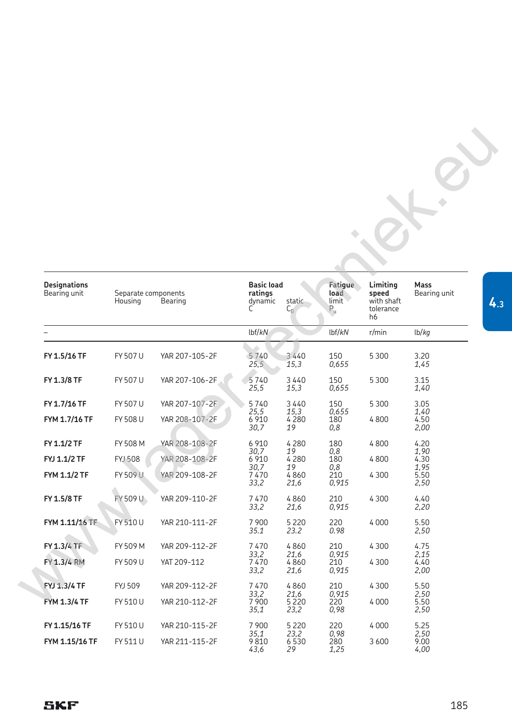| Designations<br>Bearing unit | Separate components<br>Housing | Bearing        | <b>Basic load</b><br>ratings<br>dynamic<br>С | static<br>$C_0$         | Fatigue<br>load<br>limit <sup>1</sup><br>$P_u$ | Limiting<br>speed<br>with shaft<br>tolerance<br>h6 | Mass<br>Bearing unit |
|------------------------------|--------------------------------|----------------|----------------------------------------------|-------------------------|------------------------------------------------|----------------------------------------------------|----------------------|
|                              |                                |                | lbf/kN                                       |                         | lbf/kN                                         | r/min                                              | lb/kg                |
| FY 1.5/16 TF                 | FY 507 U                       | YAR 207-105-2F | 5740<br>25,5                                 | 3 4 4 0<br>15,3         | 150<br>0,655                                   | 5 3 0 0                                            | 3.20<br>1,45         |
| FY 1.3/8 TF                  | FY 507 U                       | YAR 207-106-2F | 5740<br>25,5                                 | 3440<br>15,3            | 150<br>0,655                                   | 5300                                               | 3.15<br>1,40         |
| FY 1.7/16 TF                 | FY 507 U                       | YAR 207-107-2F | 5740                                         | 3440                    | 150                                            | 5300                                               | 3.05                 |
| FYM 1.7/16 TF                | FY 508 U                       | YAR 208-107-2F | 25,5<br>6 9 10<br>30,7                       | 15,3<br>4280<br>19      | 0,655<br>180<br>0,8                            | 4800                                               | 1,40<br>4.50<br>2,00 |
| FY 1.1/2 TF                  | FY 508 M                       | YAR 208-108-2F | 6 9 10                                       | 4 2 8 0                 | 180                                            | 4800                                               | 4.20                 |
| FYJ 1.1/2 TF                 | <b>FYJ 508</b>                 | YAR 208-108-2F | 30,7<br>6 9 10                               | 19<br>4 2 8 0           | 0,8<br>180                                     | 4800                                               | 1,90<br>4.30         |
| FYM 1.1/2 TF                 | FY 509 U                       | YAR 209-108-2F | 30,7<br>7470<br>33,2                         | 19<br>4860<br>21,6      | 0,8<br>210<br>0,915                            | 4 3 0 0                                            | 1,95<br>5.50<br>2,50 |
| FY 1.5/8 TF                  | FY 509 U                       | YAR 209-110-2F | 7470<br>33,2                                 | 4860<br>21,6            | 210<br>0,915                                   | 4 3 0 0                                            | 4.40<br>2,20         |
| FYM 1.11/16 TF               | FY 510 U                       | YAR 210-111-2F | 7 900<br>35.1                                | 5 2 2 0<br>23.2         | 220<br>0.98                                    | 4 0 0 0                                            | 5.50<br>2,50         |
| FY 1.3/4 TF                  | FY 509 M                       | YAR 209-112-2F | 7470                                         | 4860                    | 210                                            | 4 3 0 0                                            | 4.75                 |
| FY 1.3/4 RM                  | FY 509 U                       | YAT 209-112    | 33,2<br>7470<br>33,2                         | 21,6<br>4860<br>21,6    | 0,915<br>210<br>0,915                          | 4300                                               | 2,15<br>4.40<br>2,00 |
| FYJ 1.3/4 TF                 | FYJ 509                        | YAR 209-112-2F | 7470                                         | 4860                    | 210                                            | 4 3 0 0                                            | 5.50                 |
| <b>FYM 1.3/4 TF</b>          | FY 510 U                       | YAR 210-112-2F | 33,2<br>7900<br>35,1                         | 21,6<br>5 2 2 0<br>23,2 | 0,915<br>220<br>0,98                           | 4000                                               | 2,50<br>5.50<br>2,50 |
| FY 1.15/16 TF                | FY 510 U                       | YAR 210-115-2F | 7900                                         | 5 2 2 0                 | 220                                            | 4000                                               | 5.25                 |
| FYM 1.15/16 TF               | FY 511 U                       | YAR 211-115-2F | 35,1<br>9810<br>43,6                         | 23,2<br>6530<br>29      | 0,98<br>280<br>1,25                            | 3600                                               | 2,50<br>9.00<br>4,00 |

## **SKF**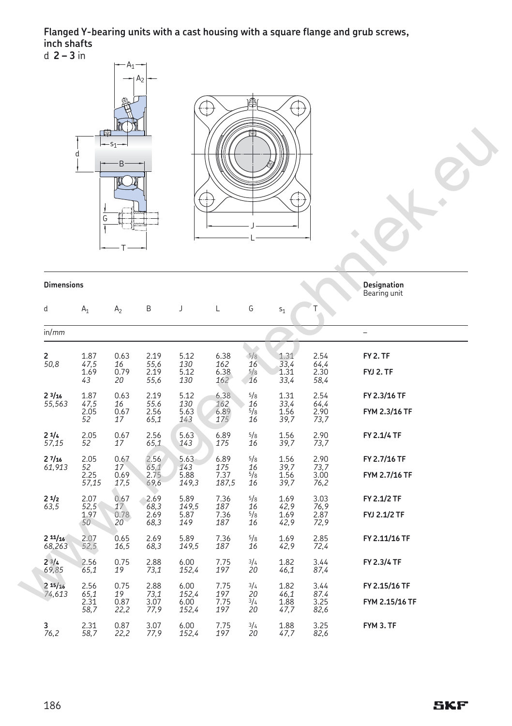## **Flanged Y-bearing units with a cast housing with a square flange and grub screws, inch shafts** d **2 – 3** in

|                      | d<br>G                       | $\mathsf{A}_1$<br>S <sub>1</sub><br>B | $\mathsf{A}_2$                 | $\overline{\mathcal{C}}$       | Ŧ                            | 圝                                | $\overline{\mathcal{L}}$<br>÷ |                              |                                    |  |
|----------------------|------------------------------|---------------------------------------|--------------------------------|--------------------------------|------------------------------|----------------------------------|-------------------------------|------------------------------|------------------------------------|--|
| <b>Dimensions</b>    |                              |                                       |                                |                                |                              |                                  |                               |                              | Designation<br>Bearing unit        |  |
| d                    | $A_1$                        | A <sub>2</sub>                        | B                              | J                              | Г                            | G                                | $s_1$                         | Τ                            |                                    |  |
| in/mm                |                              |                                       |                                |                                |                              |                                  |                               |                              | $\qquad \qquad -$                  |  |
| 2<br>50,8            | 1.87<br>47,5<br>1.69<br>43   | 0.63<br>16<br>0.79<br>20              | 2.19<br>55,6<br>2.19<br>55,6   | 5.12<br>130<br>5.12<br>130     | 6.38<br>162<br>6.38<br>162   | 5/8<br>16<br>$\frac{5}{8}$<br>16 | 1.31<br>33,4<br>1.31<br>33,4  | 2.54<br>64,4<br>2.30<br>58,4 | FY 2. TF<br>FYJ 2. TF              |  |
| $2^{3}/16$<br>55,563 | 1.87<br>47,5<br>2.05<br>52   | 0.63<br>16<br>0.67<br>17              | 2.19<br>55.6<br>2.56<br>65,1   | 5.12<br>130<br>5.63<br>143     | 6.38<br>162<br>6.89<br>175   | 5/8<br>16<br>5/8<br>16           | 1.31<br>33,4<br>1.56<br>39,7  | 2.54<br>64,4<br>2.90<br>73,7 | FY 2.3/16 TF<br>FYM 2.3/16 TF      |  |
| 21/4<br>57,15        | 2.05<br>52                   | 0.67<br>17                            | 2.56<br>65,1                   | 5.63<br>143                    | 6.89<br>175                  | 5/8<br>16                        | 1.56<br>39,7                  | 2.90<br>73,7                 | FY 2.1/4 TF                        |  |
| 27/16<br>61,913      | 2.05<br>52<br>2.25<br>57,15  | 0.67<br>17<br>0.69<br>17,5            | 2.56<br>$65,1$<br>2.75<br>69,6 | 5.63<br>143<br>5.88<br>149,3   | 6.89<br>175<br>7.37<br>187,5 | 5/8<br>16<br>5/8<br>16           | 1.56<br>39,7<br>1.56<br>39,7  | 2.90<br>73,7<br>3.00<br>76,2 | FY 2.7/16 TF<br>FYM 2.7/16 TF      |  |
| 21/2<br>63,5         | 2.07<br>52,5<br>1.97<br>50   | 0.67<br>$^{17}_{0.78}$<br>20          | 2.69<br>68,3<br>2.69<br>68,3   | 5.89<br>149,5<br>5.87<br>149   | 7.36<br>187<br>7.36<br>187   | 5/8<br>16<br>5/8<br>16           | 1.69<br>42,9<br>1.69<br>42,9  | 3.03<br>76,9<br>2.87<br>72,9 | FY 2.1/2 TF<br><b>FYJ 2.1/2 TF</b> |  |
| 211/16<br>68,263     | 2.07<br>52,5                 | 0.65<br>16,5                          | 2.69<br>68,3                   | 5.89<br>149,5                  | 7.36<br>187                  | 5/8<br>16                        | 1.69<br>42,9                  | 2.85<br>72,4                 | FY 2.11/16 TF                      |  |
| $2^{3/4}$<br>69,85   | 2.56<br>65,1                 | 0.75<br>19                            | 2.88<br>73,1                   | 6.00<br>152,4                  | 7.75<br>197                  | 3/4<br>20                        | 1.82<br>46,1                  | 3.44<br>87,4                 | FY 2.3/4 TF                        |  |
| 215/16<br>74,613     | 2.56<br>65,1<br>2.31<br>58,7 | 0.75<br>19<br>0.87<br>22,2            | 2.88<br>73,1<br>3.07<br>77,9   | 6.00<br>152,4<br>6.00<br>152,4 | 7.75<br>197<br>7.75<br>197   | 3/4<br>20<br>3/4<br>20           | 1.82<br>46,1<br>1.88<br>47,7  | 3.44<br>87.4<br>3.25<br>82,6 | FY 2.15/16 TF<br>FYM 2.15/16 TF    |  |
| 3<br>76,2            | 2.31<br>58,7                 | 0.87<br>22,2                          | 3.07<br>77,9                   | 6.00<br>152,4                  | 7.75<br>197                  | 3/4<br>20                        | 1.88<br>47,7                  | 3.25<br>82,6                 | FYM 3. TF                          |  |